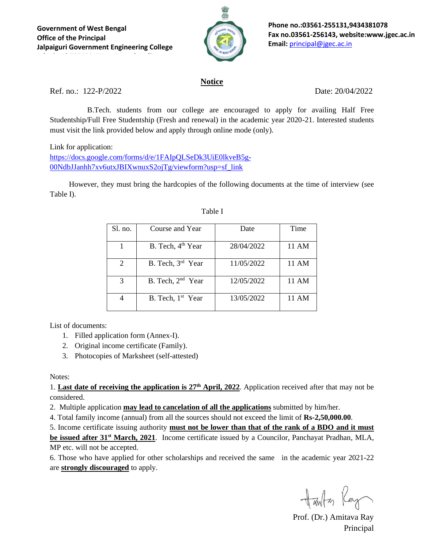**Jalpaiguri-735102, West Bengal, India**



**Phone no.:03561-255131,9434381078 Fax no.03561-256143, website:www.jgec.ac.in Email:** [principal@jgec.ac.in](mailto:principal@jgec.ac.in)

## **Notice**

Ref. no.: 122-P/2022 Date: 20/04/2022

 B.Tech. students from our college are encouraged to apply for availing Half Free Studentship/Full Free Studentship (Fresh and renewal) in the academic year 2020-21. Interested students must visit the link provided below and apply through online mode (only).

Link for application:

[https://docs.google.com/forms/d/e/1FAIpQLSeDk3UiE0lkveB5g-](https://docs.google.com/forms/d/e/1FAIpQLSeDk3UiE0lkveB5g-00NdbJJanhh7xv6utxJBIXwnuxS2ojTg/viewform?usp=sf_link%20%20%20%20%20%20)[00NdbJJanhh7xv6utxJBIXwnuxS2ojTg/viewform?usp=sf\\_link](https://docs.google.com/forms/d/e/1FAIpQLSeDk3UiE0lkveB5g-00NdbJJanhh7xv6utxJBIXwnuxS2ojTg/viewform?usp=sf_link%20%20%20%20%20%20) 

 However, they must bring the hardcopies of the following documents at the time of interview (see Table I).

| Sl. no. | Course and Year               | Date       | Time  |
|---------|-------------------------------|------------|-------|
|         | B. Tech, 4 <sup>th</sup> Year | 28/04/2022 | 11 AM |
| 2       | B. Tech, 3rd Year             | 11/05/2022 | 11 AM |
| 3       | B. Tech, 2 <sup>nd</sup> Year | 12/05/2022 | 11 AM |
|         | B. Tech, 1 <sup>st</sup> Year | 13/05/2022 | 11 AM |

## **Table I**

List of documents:

- 1. Filled application form (Annex-I).
- 2. Original income certificate (Family).
- 3. Photocopies of Marksheet (self-attested)

Notes:

1. **Last date of receiving the application is 27th April, 2022**. Application received after that may not be considered.

2. Multiple application **may lead to cancelation of all the applications** submitted by him/her.

4. Total family income (annual) from all the sources should not exceed the limit of **Rs-2,50,000.00**.

5. Income certificate issuing authority **must not be lower than that of the rank of a BDO and it must**

**be issued after 31st March, 2021**. Income certificate issued by a Councilor, Panchayat Pradhan, MLA, MP etc. will not be accepted.

6. Those who have applied for other scholarships and received the same in the academic year 2021-22 are **strongly discouraged** to apply.

Hanton Ray

Prof. (Dr.) Amitava Ray Principal